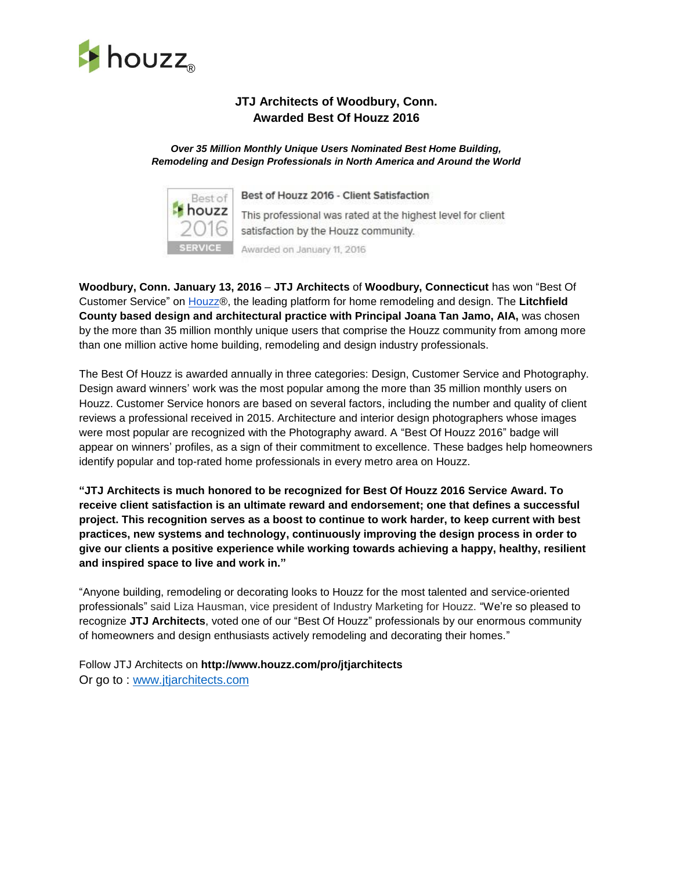

## **JTJ Architects of Woodbury, Conn. Awarded Best Of Houzz 2016**

## *Over 35 Million Monthly Unique Users Nominated Best Home Building, Remodeling and Design Professionals in North America and Around the World*



Best of Houzz 2016 - Client Satisfaction This professional was rated at the highest level for client satisfaction by the Houzz community.

Awarded on January 11, 2016

**Woodbury, Conn. January 13, 2016** – **JTJ Architects** of **Woodbury, Connecticut** has won "Best Of Customer Service" on [Houzz®](http://www.google.com/url?q=http%3A%2F%2Fwww.houzz.com&sa=D&sntz=1&usg=AFQjCNGRJ_fe38olKh3r4Bj-S-erS8OUCA), the leading platform for home remodeling and design. The **Litchfield County based design and architectural practice with Principal Joana Tan Jamo, AIA,** was chosen by the more than 35 million monthly unique users that comprise the Houzz community from among more than one million active home building, remodeling and design industry professionals.

The Best Of Houzz is awarded annually in three categories: Design, Customer Service and Photography. Design award winners' work was the most popular among the more than 35 million monthly users on Houzz. Customer Service honors are based on several factors, including the number and quality of client reviews a professional received in 2015. Architecture and interior design photographers whose images were most popular are recognized with the Photography award. A "Best Of Houzz 2016" badge will appear on winners' profiles, as a sign of their commitment to excellence. These badges help homeowners identify popular and top-rated home professionals in every metro area on Houzz.

**"JTJ Architects is much honored to be recognized for Best Of Houzz 2016 Service Award. To receive client satisfaction is an ultimate reward and endorsement; one that defines a successful project. This recognition serves as a boost to continue to work harder, to keep current with best practices, new systems and technology, continuously improving the design process in order to give our clients a positive experience while working towards achieving a happy, healthy, resilient and inspired space to live and work in."**

"Anyone building, remodeling or decorating looks to Houzz for the most talented and service-oriented professionals" said Liza Hausman, vice president of Industry Marketing for Houzz. "We're so pleased to recognize **JTJ Architects**, voted one of our "Best Of Houzz" professionals by our enormous community of homeowners and design enthusiasts actively remodeling and decorating their homes."

Follow JTJ Architects on **http://www.houzz.com/pro/jtjarchitects** Or go to : [www.jtjarchitects.com](http://www.jtjarchitects.com/)